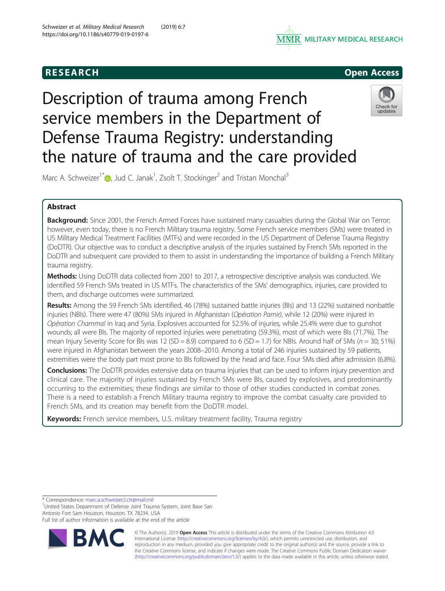



# Description of trauma among French service members in the Department of Defense Trauma Registry: understanding the nature of trauma and the care provided



Marc A. Schweizer<sup>1\*</sup> D[,](http://orcid.org/0000-0002-3459-6477) Jud C. Janak<sup>1</sup>, Zsolt T. Stockinger<sup>2</sup> and Tristan Monchal<sup>3</sup>

# Abstract

Background: Since 2001, the French Armed Forces have sustained many casualties during the Global War on Terror; however, even today, there is no French Military trauma registry. Some French service members (SMs) were treated in US Military Medical Treatment Facilities (MTFs) and were recorded in the US Department of Defense Trauma Registry (DoDTR). Our objective was to conduct a descriptive analysis of the injuries sustained by French SMs reported in the DoDTR and subsequent care provided to them to assist in understanding the importance of building a French Military trauma registry.

Methods: Using DoDTR data collected from 2001 to 2017, a retrospective descriptive analysis was conducted. We identified 59 French SMs treated in US MTFs. The characteristics of the SMs' demographics, injuries, care provided to them, and discharge outcomes were summarized.

Results: Among the 59 French SMs identified, 46 (78%) sustained battle injuries (BIs) and 13 (22%) sustained nonbattle injuries (NBIs). There were 47 (80%) SMs injured in Afghanistan (Opération Pamir), while 12 (20%) were injured in Opération Chammal in Iraq and Syria. Explosives accounted for 52.5% of injuries, while 25.4% were due to gunshot wounds; all were BIs. The majority of reported injuries were penetrating (59.3%), most of which were BIs (71.7%). The mean Injury Severity Score for BIs was 12 (SD = 8.9) compared to 6 (SD = 1.7) for NBIs. Around half of SMs ( $n = 30$ ; 51%) were injured in Afghanistan between the years 2008–2010. Among a total of 246 injuries sustained by 59 patients, extremities were the body part most prone to BIs followed by the head and face. Four SMs died after admission (6.8%).

Conclusions: The DoDTR provides extensive data on trauma injuries that can be used to inform injury prevention and clinical care. The majority of injuries sustained by French SMs were BIs, caused by explosives, and predominantly occurring to the extremities; these findings are similar to those of other studies conducted in combat zones. There is a need to establish a French Military trauma registry to improve the combat casualty care provided to French SMs, and its creation may benefit from the DoDTR model.

Keywords: French service members, U.S. military treatment facility, Trauma registry

\* Correspondence: [marc.a.schweizer2.ctr@mail.mil](mailto:marc.a.schweizer2.ctr@mail.mil) <sup>1</sup>

<sup>1</sup>United States Department of Defense Joint Trauma System, Joint Base San Antonio Fort Sam Houston, Houston, TX 78234, USA

Full list of author information is available at the end of the article



© The Author(s). 2019 Open Access This article is distributed under the terms of the Creative Commons Attribution 4.0 International License [\(http://creativecommons.org/licenses/by/4.0/](http://creativecommons.org/licenses/by/4.0/)), which permits unrestricted use, distribution, and reproduction in any medium, provided you give appropriate credit to the original author(s) and the source, provide a link to the Creative Commons license, and indicate if changes were made. The Creative Commons Public Domain Dedication waiver [\(http://creativecommons.org/publicdomain/zero/1.0/](http://creativecommons.org/publicdomain/zero/1.0/)) applies to the data made available in this article, unless otherwise stated.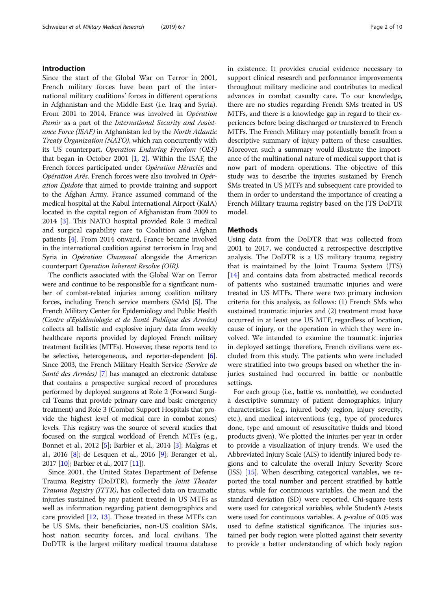# Introduction

Since the start of the Global War on Terror in 2001, French military forces have been part of the international military coalitions' forces in different operations in Afghanistan and the Middle East (i.e. Iraq and Syria). From 2001 to 2014, France was involved in Opération Pamir as a part of the International Security and Assistance Force (ISAF) in Afghanistan led by the North Atlantic Treaty Organization (NATO), which ran concurrently with its US counterpart, Operation Enduring Freedom (OEF) that began in October 2001 [[1,](#page-8-0) [2\]](#page-8-0). Within the ISAF, the French forces participated under Opération Héraclès and Opération Arès. French forces were also involved in Opération Epidote that aimed to provide training and support to the Afghan Army. France assumed command of the medical hospital at the Kabul International Airport (KaIA) located in the capital region of Afghanistan from 2009 to 2014 [[3](#page-8-0)]. This NATO hospital provided Role 3 medical and surgical capability care to Coalition and Afghan patients [[4\]](#page-8-0). From 2014 onward, France became involved in the international coalition against terrorism in Iraq and Syria in Opération Chammal alongside the American counterpart Operation Inherent Resolve (OIR).

The conflicts associated with the Global War on Terror were and continue to be responsible for a significant number of combat-related injuries among coalition military forces, including French service members (SMs) [[5\]](#page-8-0). The French Military Center for Epidemiology and Public Health (Centre d'Epidémiologie et de Santé Publique des Armées) collects all ballistic and explosive injury data from weekly healthcare reports provided by deployed French military treatment facilities (MTFs). However, these reports tend to be selective, heterogeneous, and reporter-dependent  $[6]$  $[6]$  $[6]$ . Since 2003, the French Military Health Service (Service de Santé des Armées) [[7](#page-8-0)] has managed an electronic database that contains a prospective surgical record of procedures performed by deployed surgeons at Role 2 (Forward Surgical Teams that provide primary care and basic emergency treatment) and Role 3 (Combat Support Hospitals that provide the highest level of medical care in combat zones) levels. This registry was the source of several studies that focused on the surgical workload of French MTFs (e.g., Bonnet et al., 2012 [\[5\]](#page-8-0); Barbier et al., 2014 [\[3\]](#page-8-0); Malgras et al., 2016 [[8](#page-8-0)]; de Lesquen et al., 2016 [\[9\]](#page-8-0); Beranger et al., 2017 [\[10\]](#page-8-0); Barbier et al., 2017 [[11](#page-8-0)]).

Since 2001, the United States Department of Defense Trauma Registry (DoDTR), formerly the Joint Theater Trauma Registry (JTTR), has collected data on traumatic injuries sustained by any patient treated in US MTFs as well as information regarding patient demographics and care provided [\[12](#page-8-0), [13](#page-8-0)]. Those treated in these MTFs can be US SMs, their beneficiaries, non-US coalition SMs, host nation security forces, and local civilians. The DoDTR is the largest military medical trauma database in existence. It provides crucial evidence necessary to support clinical research and performance improvements throughout military medicine and contributes to medical advances in combat casualty care. To our knowledge, there are no studies regarding French SMs treated in US MTFs, and there is a knowledge gap in regard to their experiences before being discharged or transferred to French MTFs. The French Military may potentially benefit from a descriptive summary of injury pattern of these casualties. Moreover, such a summary would illustrate the importance of the multinational nature of medical support that is now part of modern operations. The objective of this study was to describe the injuries sustained by French SMs treated in US MTFs and subsequent care provided to them in order to understand the importance of creating a French Military trauma registry based on the JTS DoDTR model.

### Methods

Using data from the DoDTR that was collected from 2001 to 2017, we conducted a retrospective descriptive analysis. The DoDTR is a US military trauma registry that is maintained by the Joint Trauma System (JTS) [[14\]](#page-8-0) and contains data from abstracted medical records of patients who sustained traumatic injuries and were treated in US MTFs. There were two primary inclusion criteria for this analysis, as follows: (1) French SMs who sustained traumatic injuries and (2) treatment must have occurred in at least one US MTF, regardless of location, cause of injury, or the operation in which they were involved. We intended to examine the traumatic injuries in deployed settings; therefore, French civilians were excluded from this study. The patients who were included were stratified into two groups based on whether the injuries sustained had occurred in battle or nonbattle settings.

For each group (i.e., battle vs. nonbattle), we conducted a descriptive summary of patient demographics, injury characteristics (e.g., injured body region, injury severity, etc.), and medical interventions (e.g., type of procedures done, type and amount of resuscitative fluids and blood products given). We plotted the injuries per year in order to provide a visualization of injury trends. We used the Abbreviated Injury Scale (AIS) to identify injured body regions and to calculate the overall Injury Severity Score (ISS) [\[15\]](#page-9-0). When describing categorical variables, we reported the total number and percent stratified by battle status, while for continuous variables, the mean and the standard deviation (SD) were reported. Chi-square tests were used for categorical variables, while Student's t-tests were used for continuous variables. A  $p$ -value of 0.05 was used to define statistical significance. The injuries sustained per body region were plotted against their severity to provide a better understanding of which body region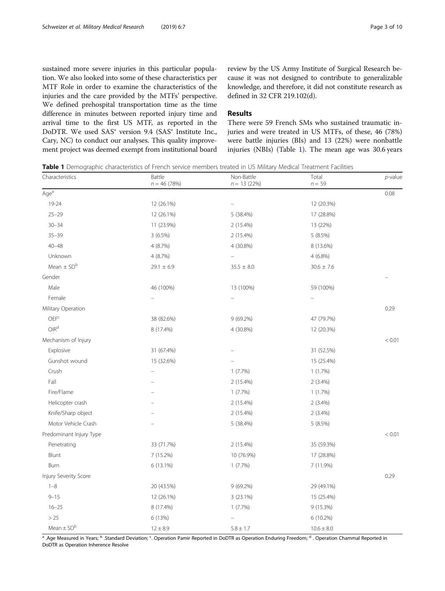<span id="page-2-0"></span>sustained more severe injuries in this particular population. We also looked into some of these characteristics per MTF Role in order to examine the characteristics of the injuries and the care provided by the MTFs' perspective. We defined prehospital transportation time as the time difference in minutes between reported injury time and arrival time to the first US MTF, as reported in the DoDTR. We used SAS® version 9.4 (SAS® Institute Inc., Cary, NC) to conduct our analyses. This quality improvement project was deemed exempt from institutional board review by the US Army Institute of Surgical Research because it was not designed to contribute to generalizable knowledge, and therefore, it did not constitute research as defined in 32 CFR 219.102(d).

# Results

There were 59 French SMs who sustained traumatic injuries and were treated in US MTFs, of these, 46 (78%) were battle injuries (BIs) and 13 (22%) were nonbattle injuries (NBIs) (Table 1). The mean age was 30.6 years

Table 1 Demographic characteristics of French service members treated in US Military Medical Treatment Facilities

| Characteristics            | Battle<br>$n = 46 (78%)$ | Non-Battle<br>$n = 13(22%)$ | Total<br>$n = 59$ | $p$ -value |
|----------------------------|--------------------------|-----------------------------|-------------------|------------|
| Age <sup>a</sup>           |                          |                             |                   | 0.08       |
| 19-24                      | 12 (26.1%)               |                             | 12 (20.3%)        |            |
| $25 - 29$                  | 12 (26.1%)               | 5 (38.4%)                   | 17 (28.8%)        |            |
| $30 - 34$                  | 11 (23.9%)               | 2 (15.4%)                   | 13 (22%)          |            |
| $35 - 39$                  | $3(6.5\%)$               | 2 (15.4%)                   | 5(8.5%)           |            |
| $40 - 48$                  | 4 (8.7%)                 | 4 (30.8%)                   | 8 (13.6%)         |            |
| Unknown                    | 4 (8.7%)                 |                             | 4 (6.8%)          |            |
| Mean $\pm$ SD <sup>b</sup> | $29.1 \pm 6.9$           | $35.5 \pm 8.0$              | $30.6 \pm 7.6$    |            |
| Gender                     |                          |                             |                   |            |
| Male                       | 46 (100%)                | 13 (100%)                   | 59 (100%)         |            |
| Female                     |                          |                             |                   |            |
| Military Operation         |                          |                             |                   | 0.29       |
| DEF <sup>c</sup>           | 38 (82.6%)               | 9 (69.2%)                   | 47 (79.7%)        |            |
| OIR <sup>d</sup>           | 8 (17.4%)                | 4 (30.8%)                   | 12 (20.3%)        |            |
| Mechanism of Injury        |                          |                             |                   | < 0.01     |
| Explosive                  | 31 (67.4%)               |                             | 31 (52.5%)        |            |
| Gunshot wound              | 15 (32.6%)               |                             | 15 (25.4%)        |            |
| Crush                      | $\equiv$                 | 1(7.7%)                     | 1(1.7%)           |            |
| Fall                       |                          | 2 (15.4%)                   | $2(3.4\%)$        |            |
| Fire/Flame                 |                          | 1(7.7%)                     | 1(1.7%)           |            |
| Helicopter crash           |                          | 2 (15.4%)                   | $2(3.4\%)$        |            |
| Knife/Sharp object         |                          | 2 (15.4%)                   | $2(3.4\%)$        |            |
| Motor Vehicle Crash        |                          | 5 (38.4%)                   | 5 (8.5%)          |            |
| Predominant Injury Type    |                          |                             |                   | < 0.01     |
| Penetrating                | 33 (71.7%)               | 2 (15.4%)                   | 35 (59.3%)        |            |
| Blunt                      | 7 (15.2%)                | 10 (76.9%)                  | 17 (28.8%)        |            |
| Burn                       | 6 (13.1%)                | 1(7.7%)                     | 7 (11.9%)         |            |
| Injury Severity Score      |                          |                             |                   | 0.29       |
| $1 - 8$                    | 20 (43.5%)               | 9 (69.2%)                   | 29 (49.1%)        |            |
| $9 - 15$                   | 12 (26.1%)               | 3 (23.1%)                   | 15 (25.4%)        |            |
| $16 - 25$                  | 8 (17.4%)                | 1(7.7%)                     | 9 (15.3%)         |            |
| >25                        | 6 (13%)                  |                             | 6 (10.2%)         |            |
| Mean $\pm$ SD <sup>b</sup> | $12 \pm 8.9$             | $5.8 \pm 1.7$               | $10.6 \pm 8.0$    |            |

<sup>a</sup> .Age Measured in Years; <sup>b</sup> .Standard Deviation; <sup>c</sup>. Operation Pamir Reported in DoDTR as Operation Enduring Freedom; <sup>d</sup> . Operation Chammal Reported in DoDTR as Operation Inherence Resolve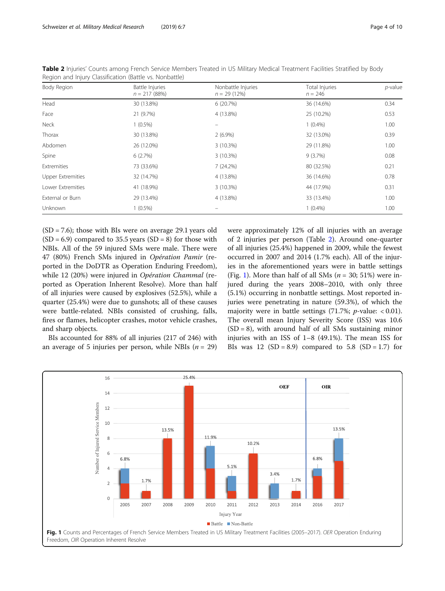| Region and injury Classification (Battle Vs. Nonbattle) |                                          |                                     |                             |            |  |  |
|---------------------------------------------------------|------------------------------------------|-------------------------------------|-----------------------------|------------|--|--|
| Body Region                                             | <b>Battle Injuries</b><br>$n = 217(88%)$ | Nonbattle Injuries<br>$n = 29(12%)$ | Total Injuries<br>$n = 246$ | $p$ -value |  |  |
| Head                                                    | 30 (13.8%)                               | 6(20.7%)                            | 36 (14.6%)                  | 0.34       |  |  |
| Face                                                    | 21 (9.7%)                                | 4 (13.8%)                           | 25 (10.2%)                  | 0.53       |  |  |
| Neck                                                    | $1(0.5\%)$                               |                                     | $1(0.4\%)$                  | 1.00       |  |  |
| Thorax                                                  | 30 (13.8%)                               | $2(6.9\%)$                          | 32 (13.0%)                  | 0.39       |  |  |
| Abdomen                                                 | 26 (12.0%)                               | 3(10.3%)                            | 29 (11.8%)                  | 1.00       |  |  |
| Spine                                                   | 6(2.7%)                                  | 3(10.3%)                            | 9(3.7%)                     | 0.08       |  |  |
| <b>Extremities</b>                                      | 73 (33.6%)                               | 7(24.2%)                            | 80 (32.5%)                  | 0.21       |  |  |
| <b>Upper Extremities</b>                                | 32 (14.7%)                               | 4 (13.8%)                           | 36 (14.6%)                  | 0.78       |  |  |
| Lower Extremities                                       | 41 (18.9%)                               | 3(10.3%)                            | 44 (17.9%)                  | 0.31       |  |  |
| External or Burn                                        | 29 (13.4%)                               | 4 (13.8%)                           | 33 (13.4%)                  | 1.00       |  |  |
| Unknown                                                 | $1(0.5\%)$                               |                                     | $1(0.4\%)$                  | 1.00       |  |  |

<span id="page-3-0"></span>Table 2 Injuries' Counts among French Service Members Treated in US Military Medical Treatment Facilities Stratified by Body Region and Injury Classification (Battle vs. Nonbattle)

 $(SD = 7.6)$ ; those with BIs were on average 29.1 years old  $(SD = 6.9)$  compared to 35.5 years  $(SD = 8)$  for those with NBIs. All of the 59 injured SMs were male. There were 47 (80%) French SMs injured in Opération Pamir (reported in the DoDTR as Operation Enduring Freedom), while 12 (20%) were injured in Opération Chammal (reported as Operation Inherent Resolve). More than half of all injuries were caused by explosives (52.5%), while a quarter (25.4%) were due to gunshots; all of these causes were battle-related. NBIs consisted of crushing, falls, fires or flames, helicopter crashes, motor vehicle crashes, and sharp objects.

BIs accounted for 88% of all injuries (217 of 246) with an average of 5 injuries per person, while NBIs ( $n = 29$ )

were approximately 12% of all injuries with an average of 2 injuries per person (Table 2). Around one-quarter of all injuries (25.4%) happened in 2009, while the fewest occurred in 2007 and 2014 (1.7% each). All of the injuries in the aforementioned years were in battle settings (Fig. 1). More than half of all SMs ( $n = 30$ ; 51%) were injured during the years 2008–2010, with only three (5.1%) occurring in nonbattle settings. Most reported injuries were penetrating in nature (59.3%), of which the majority were in battle settings  $(71.7\%; p-value: < 0.01)$ . The overall mean Injury Severity Score (ISS) was 10.6  $(SD = 8)$ , with around half of all SMs sustaining minor injuries with an ISS of 1–8 (49.1%). The mean ISS for BIs was 12  $(SD = 8.9)$  compared to 5.8  $(SD = 1.7)$  for

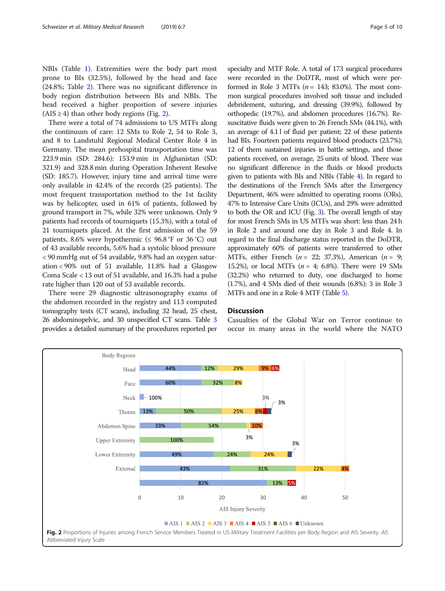NBIs (Table [1](#page-2-0)). Extremities were the body part most prone to BIs (32.5%), followed by the head and face (24.8%; Table [2\)](#page-3-0). There was no significant difference in body region distribution between BIs and NBIs. The head received a higher proportion of severe injuries  $(AIS \geq 4)$  than other body regions (Fig. 2).

There were a total of 74 admissions to US MTFs along the continuum of care: 12 SMs to Role 2, 54 to Role 3, and 8 to Landstuhl Regional Medical Center Role 4 in Germany. The mean prehospital transportation time was 223.9 min (SD: 284.6): 153.9 min in Afghanistan (SD: 321.9) and 328.8 min during Operation Inherent Resolve (SD: 185.7). However, injury time and arrival time were only available in 42.4% of the records (25 patients). The most frequent transportation method to the 1st facility was by helicopter, used in 61% of patients, followed by ground transport in 7%, while 32% were unknown. Only 9 patients had records of tourniquets (15.3%), with a total of 21 tourniquets placed. At the first admission of the 59 patients, 8.6% were hypothermic ( $\leq$  96.8 °F or 36 °C) out of 43 available records, 5.6% had a systolic blood pressure < 90 mmHg out of 54 available, 9.8% had an oxygen saturation < 90% out of 51 available, 11.8% had a Glasgow Coma Scale < 13 out of 51 available, and 16.3% had a pulse rate higher than 120 out of 53 available records.

There were 29 diagnostic ultrasonography exams of the abdomen recorded in the registry and 113 computed tomography tests (CT scans), including 32 head, 25 chest, 26 abdominopelvic, and 30 unspecified CT scans. Table [3](#page-5-0) provides a detailed summary of the procedures reported per specialty and MTF Role. A total of 173 surgical procedures were recorded in the DoDTR, most of which were performed in Role 3 MTFs ( $n = 143$ ; 83.0%). The most common surgical procedures involved soft tissue and included debridement, suturing, and dressing (39.9%), followed by orthopedic (19.7%), and abdomen procedures (16.7%). Resuscitative fluids were given to 26 French SMs (44.1%), with an average of 4.1 l of fluid per patient; 22 of these patients had BIs. Fourteen patients required blood products (23.7%); 12 of them sustained injuries in battle settings, and those patients received, on average, 25 units of blood. There was no significant difference in the fluids or blood products given to patients with BIs and NBIs (Table [4](#page-6-0)). In regard to the destinations of the French SMs after the Emergency Department, 46% were admitted to operating rooms (ORs), 47% to Intensive Care Units (ICUs), and 29% were admitted to both the OR and ICU (Fig. [3](#page-7-0)). The overall length of stay for most French SMs in US MTFs was short: less than 24 h in Role 2 and around one day in Role 3 and Role 4. In regard to the final discharge status reported in the DoDTR, approximately 60% of patients were transferred to other MTFs, either French ( $n = 22$ ; 37.3%), American ( $n = 9$ ; 15.2%), or local MTFs ( $n = 4$ ; 6.8%). There were 19 SMs (32.2%) who returned to duty, one discharged to home (1.7%), and 4 SMs died of their wounds (6.8%): 3 in Role 3

# **Discussion**

Casualties of the Global War on Terror continue to occur in many areas in the world where the NATO

MTFs and one in a Role 4 MTF (Table [5](#page-7-0)).

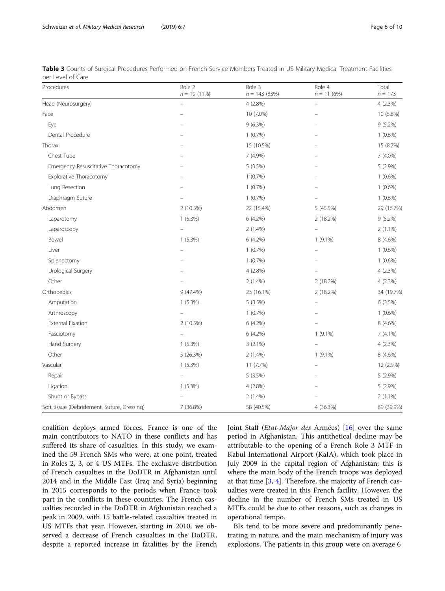<span id="page-5-0"></span>

| Table 3 Counts of Surgical Procedures Performed on French Service Members Treated in US Military Medical Treatment Facilities |  |  |  |  |
|-------------------------------------------------------------------------------------------------------------------------------|--|--|--|--|
| per Level of Care                                                                                                             |  |  |  |  |

| Procedures                                  | Role 2<br>$n = 19(11\%)$ | Role 3<br>$n = 143(83%)$ | Role 4<br>$n = 11(6%)$ | Total<br>$n = 173$ |
|---------------------------------------------|--------------------------|--------------------------|------------------------|--------------------|
| Head (Neurosurgery)                         |                          | $4(2.8\%)$               |                        | 4(2.3%)            |
| Face                                        |                          | 10 (7.0%)                |                        | 10 (5.8%)          |
| Eye                                         |                          | $9(6.3\%)$               |                        | $9(5.2\%)$         |
| Dental Procedure                            |                          | 1(0.7%)                  |                        | $1(0.6\%)$         |
| Thorax                                      |                          | 15 (10.5%)               |                        | 15 (8.7%)          |
| Chest Tube                                  |                          | 7 (4.9%)                 |                        | 7 (4.0%)           |
| Emergency Resuscitative Thoracotomy         |                          | 5(3.5%)                  |                        | $5(2.9\%)$         |
| Explorative Thoracotomy                     |                          | $1(0.7\%)$               |                        | $1(0.6\%)$         |
| Lung Resection                              |                          | 1(0.7%)                  |                        | $1(0.6\%)$         |
| Diaphragm Suture                            |                          | 1(0.7%)                  |                        | $1(0.6\%)$         |
| Abdomen                                     | 2 (10.5%)                | 22 (15.4%)               | 5 (45.5%)              | 29 (16.7%)         |
| Laparotomy                                  | $1(5.3\%)$               | $6(4.2\%)$               | 2 (18.2%)              | $9(5.2\%)$         |
| Laparoscopy                                 |                          | $2(1.4\%)$               |                        | $2(1.1\%)$         |
| Bowel                                       | $1(5.3\%)$               | 6 (4.2%)                 | $1(9.1\%)$             | 8 (4.6%)           |
| Liver                                       |                          | 1(0.7%)                  |                        | $1(0.6\%)$         |
| Splenectomy                                 |                          | 1(0.7%)                  |                        | $1(0.6\%)$         |
| Urological Surgery                          |                          | 4 (2.8%)                 |                        | 4 (2.3%)           |
| Other                                       |                          | $2(1.4\%)$               | 2 (18.2%)              | 4 (2.3%)           |
| Orthopedics                                 | 9 (47.4%)                | 23 (16.1%)               | 2 (18.2%)              | 34 (19.7%)         |
| Amputation                                  | $1(5.3\%)$               | 5(3.5%)                  |                        | 6(3.5%)            |
| Arthroscopy                                 |                          | 1(0.7%)                  |                        | $1(0.6\%)$         |
| External Fixation                           | 2 (10.5%)                | 6 (4.2%)                 |                        | 8 (4.6%)           |
| Fasciotomy                                  |                          | 6 (4.2%)                 | $1(9.1\%)$             | $7(4.1\%)$         |
| Hand Surgery                                | $1(5.3\%)$               | $3(2.1\%)$               |                        | 4(2.3%)            |
| Other                                       | 5 (26.3%)                | $2(1.4\%)$               | $1(9.1\%)$             | 8 (4.6%)           |
| Vascular                                    | $1(5.3\%)$               | 11 (7.7%)                |                        | 12 (2.9%)          |
| Repair                                      |                          | 5 (3.5%)                 |                        | 5 (2.9%)           |
| Ligation                                    | $1(5.3\%)$               | 4(2.8%)                  |                        | 5 (2.9%)           |
| Shunt or Bypass                             |                          | $2(1.4\%)$               |                        | $2(1.1\%)$         |
| Soft tissue (Debridement, Suture, Dressing) | 7 (36.8%)                | 58 (40.5%)               | 4 (36.3%)              | 69 (39.9%)         |

coalition deploys armed forces. France is one of the main contributors to NATO in these conflicts and has suffered its share of casualties. In this study, we examined the 59 French SMs who were, at one point, treated in Roles 2, 3, or 4 US MTFs. The exclusive distribution of French casualties in the DoDTR in Afghanistan until 2014 and in the Middle East (Iraq and Syria) beginning in 2015 corresponds to the periods when France took part in the conflicts in these countries. The French casualties recorded in the DoDTR in Afghanistan reached a peak in 2009, with 15 battle-related casualties treated in US MTFs that year. However, starting in 2010, we observed a decrease of French casualties in the DoDTR, despite a reported increase in fatalities by the French Joint Staff (Etat-Major des Armées) [\[16\]](#page-9-0) over the same period in Afghanistan. This antithetical decline may be attributable to the opening of a French Role 3 MTF in Kabul International Airport (KaIA), which took place in July 2009 in the capital region of Afghanistan; this is where the main body of the French troops was deployed at that time [[3,](#page-8-0) [4\]](#page-8-0). Therefore, the majority of French casualties were treated in this French facility. However, the decline in the number of French SMs treated in US MTFs could be due to other reasons, such as changes in operational tempo.

BIs tend to be more severe and predominantly penetrating in nature, and the main mechanism of injury was explosions. The patients in this group were on average 6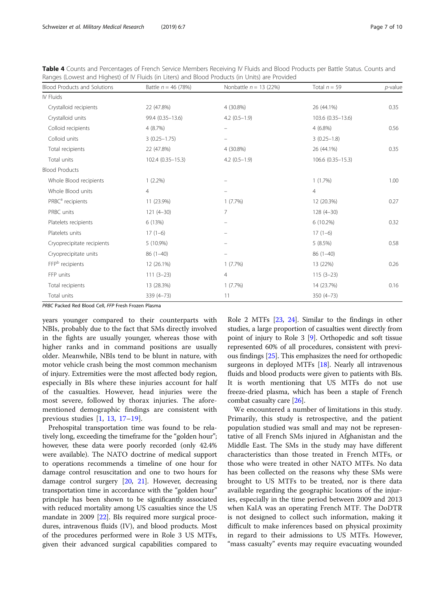| Rariges (Lowest and Highest) or iv Fiulds (in Liters) and blood Products (in Units) are Provided. |                       |                          |                     |            |  |  |
|---------------------------------------------------------------------------------------------------|-----------------------|--------------------------|---------------------|------------|--|--|
| <b>Blood Products and Solutions</b>                                                               | Battle $n = 46$ (78%) | Nonbattle $n = 13$ (22%) | Total $n = 59$      | $p$ -value |  |  |
| IV Fluids                                                                                         |                       |                          |                     |            |  |  |
| Crystalloid recipients                                                                            | 22 (47.8%)            | 4 (30.8%)                | 26 (44.1%)          | 0.35       |  |  |
| Crystalloid units                                                                                 | 99.4 (0.35-13.6)      | $4.2(0.5-1.9)$           | 103.6 (0.35-13.6)   |            |  |  |
| Colloid recipients                                                                                | 4(8.7%)               |                          | $4(6.8\%)$          | 0.56       |  |  |
| Colloid units                                                                                     | $3(0.25 - 1.75)$      |                          | $3(0.25 - 1.8)$     |            |  |  |
| Total recipients                                                                                  | 22 (47.8%)            | 4 (30.8%)                | 26 (44.1%)          | 0.35       |  |  |
| Total units                                                                                       | 102.4 (0.35 - 15.3)   | $4.2(0.5-1.9)$           | 106.6 (0.35 - 15.3) |            |  |  |
| <b>Blood Products</b>                                                                             |                       |                          |                     |            |  |  |
| Whole Blood recipients                                                                            | $1(2.2\%)$            |                          | $1(1.7\%)$          | 1.00       |  |  |

PRBC<sup>a</sup> recipients **11 (23.9%)** 1 (7.7%) 1 (7.7%) 1 (7.7%) 12 (20.3%) 0.27

Platelets recipients 6 (13%) – 6 (13%) – 6 (10.2%) 0.32

Cryoprecipitate recipients  $5(10.9\%)$  – 5 (8.5%) 6.58

FFP<sup>b</sup> recipients 12 (26.1%) 1 (7.7%) 1 (7.7%) 13 (22%) 0.26

Total recipients **13** (28.3%) 1 (7.7%) 1 (7.7%) 14 (23.7%) 0.16

Whole Blood units 4 and 4 and 4 and 4 and 4 and 4 and 4 and 4 and 4 and 4 and 4 and 4 and 4 and 4 and 4 and 4 and 4 and 4 and 4 and 4 and 4 and 4 and 4 and 4 and 4 and 4 and 4 and 4 and 4 and 4 and 4 and 4 and 4 and 4 and

PRBC units 121 (4–30) 121 (4–30) 7 128 (4–30)

Platelets units 17 (1–6) – 17 (1–6) – 17 (1–6) – 17 (1–6) – 17 (1–6)

Cryoprecipitate units 86 (1–40) – 86 (1–40)

FFP units 111 (3–23) 4 115 (3–23)

Total units 339 (4–73) 11 350 (4–73)

<span id="page-6-0"></span>Table 4 Counts and Percentages of French Service Members Receiving IV Fluids and Blood Products per Battle Status. Counts and Ranges (Lowest and Highest) of IV Fluids (in Liters) and Blood Products (in Units) are Provided

PRBC Packed Red Blood Cell, FFP Fresh Frozen Plasma

years younger compared to their counterparts with NBIs, probably due to the fact that SMs directly involved in the fights are usually younger, whereas those with higher ranks and in command positions are usually older. Meanwhile, NBIs tend to be blunt in nature, with motor vehicle crash being the most common mechanism of injury. Extremities were the most affected body region, especially in BIs where these injuries account for half of the casualties. However, head injuries were the most severe, followed by thorax injuries. The aforementioned demographic findings are consistent with previous studies [[1](#page-8-0), [13](#page-8-0), [17](#page-9-0)–[19](#page-9-0)].

Prehospital transportation time was found to be relatively long, exceeding the timeframe for the "golden hour"; however, these data were poorly recorded (only 42.4% were available). The NATO doctrine of medical support to operations recommends a timeline of one hour for damage control resuscitation and one to two hours for damage control surgery [[20](#page-9-0), [21\]](#page-9-0). However, decreasing transportation time in accordance with the "golden hour" principle has been shown to be significantly associated with reduced mortality among US casualties since the US mandate in 2009 [[22](#page-9-0)]. BIs required more surgical procedures, intravenous fluids (IV), and blood products. Most of the procedures performed were in Role 3 US MTFs, given their advanced surgical capabilities compared to Role 2 MTFs [[23](#page-9-0), [24\]](#page-9-0). Similar to the findings in other studies, a large proportion of casualties went directly from point of injury to Role 3 [[9\]](#page-8-0). Orthopedic and soft tissue represented 60% of all procedures, consistent with previous findings [[25](#page-9-0)]. This emphasizes the need for orthopedic surgeons in deployed MTFs [\[18\]](#page-9-0). Nearly all intravenous fluids and blood products were given to patients with BIs. It is worth mentioning that US MTFs do not use freeze-dried plasma, which has been a staple of French combat casualty care [[26\]](#page-9-0).

We encountered a number of limitations in this study. Primarily, this study is retrospective, and the patient population studied was small and may not be representative of all French SMs injured in Afghanistan and the Middle East. The SMs in the study may have different characteristics than those treated in French MTFs, or those who were treated in other NATO MTFs. No data has been collected on the reasons why these SMs were brought to US MTFs to be treated, nor is there data available regarding the geographic locations of the injuries, especially in the time period between 2009 and 2013 when KaIA was an operating French MTF. The DoDTR is not designed to collect such information, making it difficult to make inferences based on physical proximity in regard to their admissions to US MTFs. However, "mass casualty" events may require evacuating wounded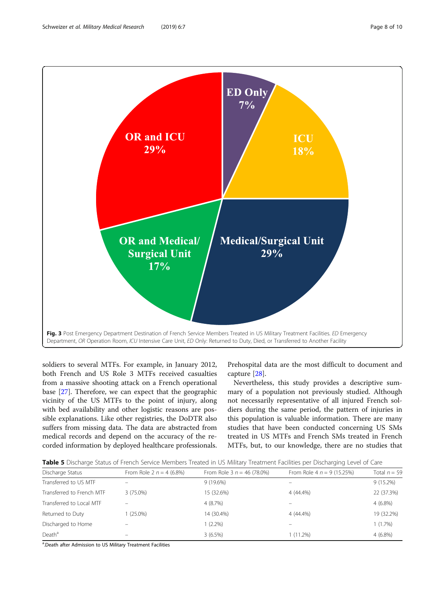<span id="page-7-0"></span>

soldiers to several MTFs. For example, in January 2012, both French and US Role 3 MTFs received casualties from a massive shooting attack on a French operational base [\[27](#page-9-0)]. Therefore, we can expect that the geographic vicinity of the US MTFs to the point of injury, along with bed availability and other logistic reasons are possible explanations. Like other registries, the DoDTR also suffers from missing data. The data are abstracted from medical records and depend on the accuracy of the recorded information by deployed healthcare professionals.

Prehospital data are the most difficult to document and capture [\[28](#page-9-0)].

Nevertheless, this study provides a descriptive summary of a population not previously studied. Although not necessarily representative of all injured French soldiers during the same period, the pattern of injuries in this population is valuable information. There are many studies that have been conducted concerning US SMs treated in US MTFs and French SMs treated in French MTFs, but, to our knowledge, there are no studies that

| Discharge Status          | From Role 2 $n = 4$ (6.8%) | From Role 3 $n = 46$ (78.0%) | From Role 4 $n = 9$ (15.25%) | Total $n = 59$ |  |  |  |
|---------------------------|----------------------------|------------------------------|------------------------------|----------------|--|--|--|
| Transferred to US MTF     |                            | 9(19.6%)                     |                              | 9(15.2%)       |  |  |  |
| Transferred to French MTF | $3(75.0\%)$                | 15 (32.6%)                   | 4 (44.4%)                    | 22 (37.3%)     |  |  |  |
| Transferred to Local MTF  |                            | 4(8.7%)                      |                              | $4(6.8\%)$     |  |  |  |
| Returned to Duty          | $(25.0\%)$                 | 14 (30.4%)                   | 4 (44.4%)                    | 19 (32.2%)     |  |  |  |
| Discharged to Home        |                            | $1(2.2\%)$                   |                              | 1(1.7%)        |  |  |  |
| Death <sup>a</sup>        |                            | $3(6.5\%)$                   | $(11.2\%)$                   | $4(6.8\%)$     |  |  |  |

<sup>a</sup>.Death after Admission to US Military Treatment Facilities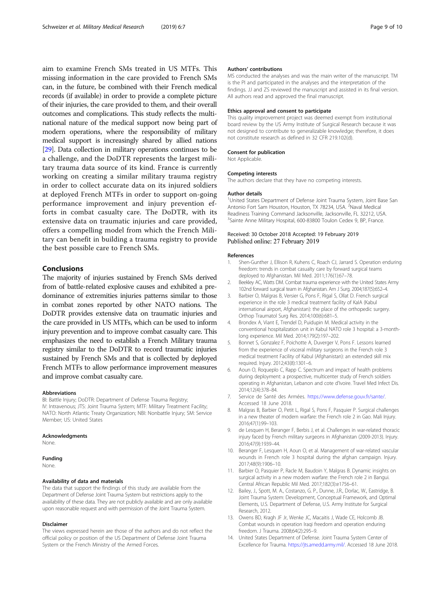<span id="page-8-0"></span>aim to examine French SMs treated in US MTFs. This missing information in the care provided to French SMs can, in the future, be combined with their French medical records (if available) in order to provide a complete picture of their injuries, the care provided to them, and their overall outcomes and complications. This study reflects the multinational nature of the medical support now being part of modern operations, where the responsibility of military medical support is increasingly shared by allied nations [[29](#page-9-0)]. Data collection in military operations continues to be a challenge, and the DoDTR represents the largest military trauma data source of its kind. France is currently working on creating a similar military trauma registry in order to collect accurate data on its injured soldiers at deployed French MTFs in order to support on-going performance improvement and injury prevention efforts in combat casualty care. The DoDTR, with its extensive data on traumatic injuries and care provided, offers a compelling model from which the French Military can benefit in building a trauma registry to provide the best possible care to French SMs.

# Conclusions

The majority of injuries sustained by French SMs derived from of battle-related explosive causes and exhibited a predominance of extremities injuries patterns similar to those in combat zones reported by other NATO nations. The DoDTR provides extensive data on traumatic injuries and the care provided in US MTFs, which can be used to inform injury prevention and to improve combat casualty care. This emphasizes the need to establish a French Military trauma registry similar to the DoDTR to record traumatic injuries sustained by French SMs and that is collected by deployed French MTFs to allow performance improvement measures and improve combat casualty care.

#### Abbreviations

BI: Battle Injury; DoDTR: Department of Defense Trauma Registry; IV: Intravenous; JTS: Joint Trauma System; MTF: Military Treatment Facility; NATO: North Atlantic Treaty Organization; NBI: Nonbattle Injury; SM: Service Member; US: United States

#### Acknowledgments

None.

#### Funding

None.

#### Availability of data and materials

The data that support the findings of this study are available from the Department of Defense Joint Trauma System but restrictions apply to the availability of these data. They are not publicly available and are only available upon reasonable request and with permission of the Joint Trauma System.

#### Disclaimer

The views expressed herein are those of the authors and do not reflect the official policy or position of the US Department of Defense Joint Trauma System or the French Ministry of the Armed Forces.

#### Authors' contributions

MS conducted the analyses and was the main writer of the manuscript. TM is the PI and participated in the analyses and the interpretation of the findings. JJ and ZS reviewed the manuscript and assisted in its final version. All authors read and approved the final manuscript.

#### Ethics approval and consent to participate

This quality improvement project was deemed exempt from institutional board review by the US Army Institute of Surgical Research because it was not designed to contribute to generalizable knowledge; therefore, it does not constitute research as defined in 32 CFR 219.102(d).

#### Consent for publication

Not Applicable.

#### Competing interests

The authors declare that they have no competing interests.

#### Author details

<sup>1</sup>United States Department of Defense Joint Trauma System, Joint Base San Antonio Fort Sam Houston, Houston, TX 78234, USA. <sup>2</sup>Naval Medical Readiness Training Command Jacksonville, Jacksonville, FL 32212, USA. <sup>3</sup>Sainte Anne Military Hospital, 600-83800 Toulon Cedex 9, BP, France

#### Received: 30 October 2018 Accepted: 19 February 2019 Published online: 27 February 2019

#### References

- 1. Shen-Gunther J, Ellison R, Kuhens C, Roach CJ, Jarrard S. Operation enduring freedom: trends in combat casualty care by forward surgical teams deployed to Afghanistan. Mil Med. 2011;176(1):67–78.
- 2. Beekley AC, Watts DM. Combat trauma experience with the United States Army 102nd forward surgical team in Afghanistan. Am J Surg. 2004;187(5):652–4.
- 3. Barbier O, Malgras B, Versier G, Pons F, Rigal S, Ollat D. French surgical experience in the role 3 medical treatment facility of KaIA (Kabul international airport, Afghanistan): the place of the orthopedic surgery. Orthop Traumatol Surg Res. 2014;100(6):681–5.
- 4. Brondex A, Viant E, Trendel D, Puidupin M. Medical activity in the conventional hospitalization unit in Kabul NATO role 3 hospital: a 3-monthlong experience. Mil Med. 2014;179(2):197–202.
- 5. Bonnet S, Gonzalez F, Poichotte A, Duverger V, Pons F. Lessons learned from the experience of visceral military surgeons in the French role 3 medical treatment Facility of Kabul (Afghanistan): an extended skill mix required. Injury. 2012;43(8):1301–6.
- 6. Aoun O, Roqueplo C, Rapp C. Spectrum and impact of health problems during deployment: a prospective, multicenter study of French soldiers operating in Afghanistan, Lebanon and cote d'Ivoire. Travel Med Infect Dis. 2014;12(4):378–84.
- 7. Service de Santé des Armées. <https://www.defense.gouv.fr/sante/>. Accessed 18 June 2018.
- 8. Malgras B, Barbier O, Petit L, Rigal S, Pons F, Pasquier P. Surgical challenges in a new theater of modern warfare: the French role 2 in Gao. Mali Injury. 2016;47(1):99–103.
- 9. de Lesquen H, Beranger F, Berbis J, et al. Challenges in war-related thoracic injury faced by French military surgeons in Afghanistan (2009-2013). Injury. 2016;47(9):1939–44.
- 10. Beranger F, Lesquen H, Aoun O, et al. Management of war-related vascular wounds in French role 3 hospital during the afghan campaign. Injury. 2017;48(9):1906–10.
- 11. Barbier O, Pasquier P, Racle M, Baudoin Y, Malgras B. Dynamic insights on surgical activity in a new modern warfare: the French role 2 in Bangui. Central African Republic Mil Med. 2017;182(3):e1756–61.
- 12. Bailey, J., Spott, M. A., Costanzo, G. P., Dunne, J.R., Dorlac, W., Eastridge, B. Joint Trauma System: Development, Conceptual Framework, and Optimal Elements, U.S. Department of Defense, U.S. Army Institute for Surgical Research, 2012.
- 13. Owens BD, Kragh JF Jr, Wenke JC, Macaitis J, Wade CE, Holcomb JB. Combat wounds in operation Iraqi freedom and operation enduring freedom. J Trauma. 2008;64(2):295–9.
- 14. United States Department of Defense. Joint Trauma System Center of Excellence for Trauma. [https://jts.amedd.army.mil/.](https://jts.amedd.army.mil/) Accessed 18 June 2018.